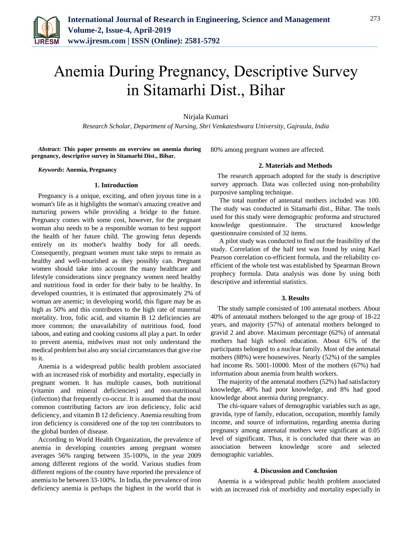

# Anemia During Pregnancy, Descriptive Survey in Sitamarhi Dist., Bihar

Nirjala Kumari

*Research Scholar, Department of Nursing, Shri Venkateshwara University, Gajraula, India*

*Abstract***: This paper presents an overview on anemia during pregnancy, descriptive survey in Sitamarhi Dist., Bihar.**

*Keywords***: Anemia, Pregnancy**

### **1. Introduction**

Pregnancy is a unique, exciting, and often joyous time in a woman's life as it highlights the woman's amazing creative and nurturing powers while providing a bridge to the future. Pregnancy comes with some cost, however, for the pregnant woman also needs to be a responsible woman to best support the health of her future child. The growing fetus depends entirely on its mother's healthy body for all needs. Consequently, pregnant women must take steps to remain as healthy and well-nourished as they possibly can. Pregnant women should take into account the many healthcare and lifestyle considerations since pregnancy women need healthy and nutritious food in order for their baby to be healthy. In developed countries, it is estimated that approximately 2% of woman are anemic; in developing world, this figure may be as high as 50% and this contributes to the high rate of maternal mortality. Iron, folic acid, and vitamin B 12 deficiencies are more common; the unavailability of nutritious food, food taboos, and eating and cooking customs all play a part. In order to prevent anemia, midwives must not only understand the medical problem but also any social circumstances that give rise to it.

Anemia is a widespread public health problem associated with an increased risk of morbidity and mortality, especially in pregnant women. It has multiple causes, both nutritional (vitamin and mineral deficiencies) and non-nutritional (infection) that frequently co-occur. It is assumed that the most common contributing factors are iron deficiency, folic acid deficiency, and vitamin B 12 deficiency. Anemia resulting from iron deficiency is considered one of the top ten contributors to the global burden of disease.

According to World Health Organization, the prevalence of anemia in developing countries among pregnant women averages 56% ranging between 35-100%, in the year 2009 among different regions of the world. Various studies from different regions of the country have reported the prevalence of anemia to be between 33-100%. In India, the prevalence of iron deficiency anemia is perhaps the highest in the world that is

80% among pregnant women are affected.

## **2. Materials and Methods**

The research approach adopted for the study is descriptive survey approach. Data was collected using non-probability purposive sampling technique.

The total number of antenatal mothers included was 100. The study was conducted in Sitamarhi dist., Bihar. The tools used for this study were demographic proforma and structured knowledge questionnaire. The structured knowledge questionnaire consisted of 32 items.

A pilot study was conducted to find out the feasibility of the study. Correlation of the half test was found by using Karl Pearson correlation co-efficient formula, and the reliability coefficient of the whole test was established by Spearman Brown prophecy formula. Data analysis was done by using both descriptive and inferential statistics.

### **3. Results**

The study sample consisted of 100 antenatal mothers. About 40% of antenatal mothers belonged to the age group of 18-22 years, and majority (57%) of antenatal mothers belonged to gravid 2 and above. Maximum percentage (62%) of antenatal mothers had high school education. About 61% of the participants belonged to a nuclear family. Most of the antenatal mothers (88%) were housewives. Nearly (52%) of the samples had income Rs. 5001-10000. Most of the mothers (67%) had information about anemia from health workers.

The majority of the antenatal mothers (52%) had satisfactory knowledge, 40% had poor knowledge, and 8% had good knowledge about anemia during pregnancy.

The chi-square values of demographic variables such as age, gravida, type of family, education, occupation, monthly family income, and source of information, regarding anemia during pregnancy among antenatal mothers were significant at 0.05 level of significant. Thus, it is concluded that there was an association between knowledge score and selected demographic variables.

## **4. Discussion and Conclusion**

Anemia is a widespread public health problem associated with an increased risk of morbidity and mortality especially in